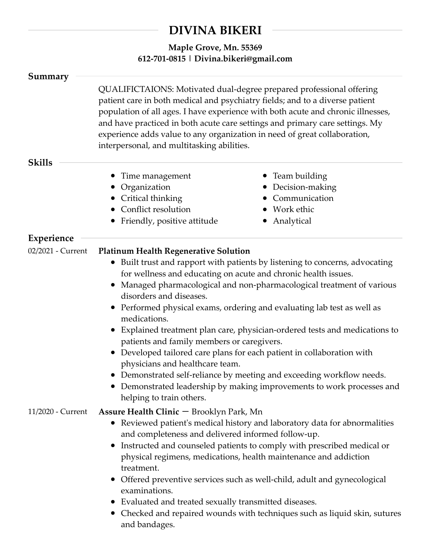## **DIVINA BIKERI**

## **Maple Grove, Mn. 55369 612-701-0815 | Divina.bikeri@gmail.com**

| Summary           |                                                                                                                                                                                                                                                                                                                                                                                                                                                                                                                                                                                                                                                                                                                                                                                                                                |                                                                                     |
|-------------------|--------------------------------------------------------------------------------------------------------------------------------------------------------------------------------------------------------------------------------------------------------------------------------------------------------------------------------------------------------------------------------------------------------------------------------------------------------------------------------------------------------------------------------------------------------------------------------------------------------------------------------------------------------------------------------------------------------------------------------------------------------------------------------------------------------------------------------|-------------------------------------------------------------------------------------|
|                   | QUALIFICTAIONS: Motivated dual-degree prepared professional offering<br>patient care in both medical and psychiatry fields; and to a diverse patient<br>population of all ages. I have experience with both acute and chronic illnesses,<br>and have practiced in both acute care settings and primary care settings. My<br>experience adds value to any organization in need of great collaboration,<br>interpersonal, and multitasking abilities.                                                                                                                                                                                                                                                                                                                                                                            |                                                                                     |
| <b>Skills</b>     |                                                                                                                                                                                                                                                                                                                                                                                                                                                                                                                                                                                                                                                                                                                                                                                                                                |                                                                                     |
|                   | • Time management<br>• Organization<br>• Critical thinking<br>• Conflict resolution<br>• Friendly, positive attitude                                                                                                                                                                                                                                                                                                                                                                                                                                                                                                                                                                                                                                                                                                           | • Team building<br>Decision-making<br>Communication<br>• Work ethic<br>• Analytical |
| <b>Experience</b> |                                                                                                                                                                                                                                                                                                                                                                                                                                                                                                                                                                                                                                                                                                                                                                                                                                |                                                                                     |
| 02/2021 - Current | <b>Platinum Health Regenerative Solution</b><br>Built trust and rapport with patients by listening to concerns, advocating<br>$\bullet$<br>for wellness and educating on acute and chronic health issues.<br>Managed pharmacological and non-pharmacological treatment of various<br>disorders and diseases.<br>• Performed physical exams, ordering and evaluating lab test as well as<br>medications.<br>• Explained treatment plan care, physician-ordered tests and medications to<br>patients and family members or caregivers.<br>• Developed tailored care plans for each patient in collaboration with<br>physicians and healthcare team.<br>• Demonstrated self-reliance by meeting and exceeding workflow needs.<br>Demonstrated leadership by making improvements to work processes and<br>helping to train others. |                                                                                     |
| 11/2020 - Current | Assure Health Clinic - Brooklyn Park, Mn<br>• Reviewed patient's medical history and laboratory data for abnormalities<br>and completeness and delivered informed follow-up.<br>Instructed and counseled patients to comply with prescribed medical or<br>physical regimens, medications, health maintenance and addiction<br>treatment.<br>Offered preventive services such as well-child, adult and gynecological<br>examinations.<br>• Evaluated and treated sexually transmitted diseases.<br>• Checked and repaired wounds with techniques such as liquid skin, sutures<br>and bandages.                                                                                                                                                                                                                                  |                                                                                     |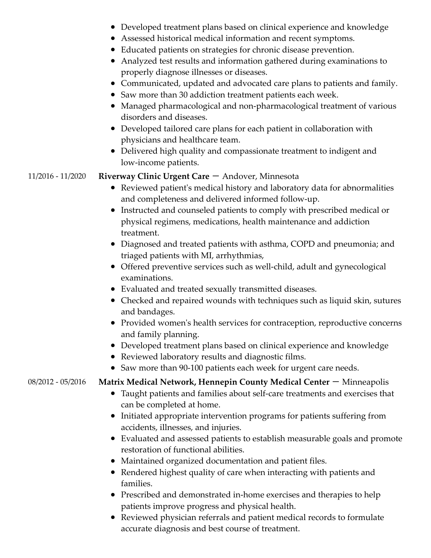- Developed treatment plans based on clinical experience and knowledge
- Assessed historical medical information and recent symptoms.
- Educated patients on strategies for chronic disease prevention.
- Analyzed test results and information gathered during examinations to properly diagnose illnesses or diseases.
- Communicated, updated and advocated care plans to patients and family.
- Saw more than 30 addiction treatment patients each week.
- Managed pharmacological and non-pharmacological treatment of various disorders and diseases.
- Developed tailored care plans for each patient in collaboration with physicians and healthcare team.
- Delivered high quality and compassionate treatment to indigent and low-income patients.

## 11/2016 - 11/2020 **Riverway Clinic Urgent Care** - Andover, Minnesota

- Reviewed patient's medical history and laboratory data for abnormalities and completeness and delivered informed follow-up.
- Instructed and counseled patients to comply with prescribed medical or physical regimens, medications, health maintenance and addiction treatment.
- Diagnosed and treated patients with asthma, COPD and pneumonia; and triaged patients with MI, arrhythmias,
- Offered preventive services such as well-child, adult and gynecological examinations.
- Evaluated and treated sexually transmitted diseases.
- Checked and repaired wounds with techniques such as liquid skin, sutures and bandages.
- Provided women's health services for contraception, reproductive concerns and family planning.
- Developed treatment plans based on clinical experience and knowledge
- Reviewed laboratory results and diagnostic films.
- Saw more than 90-100 patients each week for urgent care needs.

## 08/2012 - 05/2016 **Matrix Medical Network, Hennepin County Medical Center** – Minneapolis

- Taught patients and families about self-care treatments and exercises that can be completed at home.
- Initiated appropriate intervention programs for patients suffering from accidents, illnesses, and injuries.
- Evaluated and assessed patients to establish measurable goals and promote restoration of functional abilities.
- Maintained organized documentation and patient files.
- Rendered highest quality of care when interacting with patients and families.
- Prescribed and demonstrated in-home exercises and therapies to help patients improve progress and physical health.
- Reviewed physician referrals and patient medical records to formulate accurate diagnosis and best course of treatment.